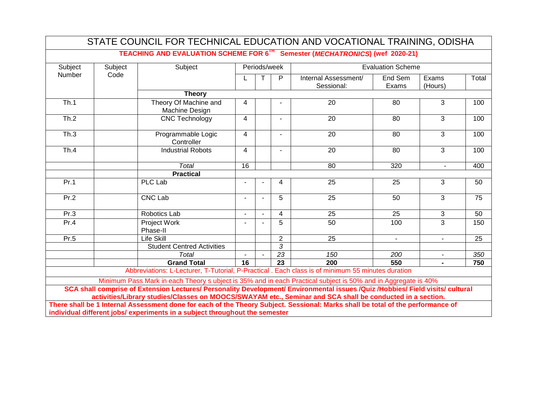| Subject | Subject | TEACHING AND EVALUATION SCHEME FOR 6TH Semester (MECHATRONICS) (wef 2020-21)<br>Subject                                                                                                                                                     |                | Periods/week   |                 |                      | <b>Evaluation Scheme</b> |                |       |
|---------|---------|---------------------------------------------------------------------------------------------------------------------------------------------------------------------------------------------------------------------------------------------|----------------|----------------|-----------------|----------------------|--------------------------|----------------|-------|
|         |         |                                                                                                                                                                                                                                             |                |                |                 |                      |                          |                |       |
| Number  | Code    |                                                                                                                                                                                                                                             |                |                | P               | Internal Assessment/ | End Sem                  | Exams          | Total |
|         |         |                                                                                                                                                                                                                                             |                |                |                 | Sessional:           | Exams                    | (Hours)        |       |
|         |         | <b>Theory</b>                                                                                                                                                                                                                               |                |                |                 |                      |                          |                |       |
| Th.1    |         | Theory Of Machine and<br>Machine Design                                                                                                                                                                                                     | 4              |                |                 | 20                   | 80                       | 3              | 100   |
| Th.2    |         | <b>CNC Technology</b>                                                                                                                                                                                                                       | 4              |                | $\blacksquare$  | 20                   | 80                       | 3              | 100   |
| Th.3    |         | Programmable Logic<br>Controller                                                                                                                                                                                                            | 4              |                | $\blacksquare$  | 20                   | 80                       | 3              | 100   |
| Th.4    |         | <b>Industrial Robots</b>                                                                                                                                                                                                                    | $\overline{4}$ |                |                 | 20                   | 80                       | 3              | 100   |
|         |         | <b>Total</b>                                                                                                                                                                                                                                | 16             |                |                 | 80                   | 320                      | $\mathbf{r}$   | 400   |
|         |         | <b>Practical</b>                                                                                                                                                                                                                            |                |                |                 |                      |                          |                |       |
| Pr.1    |         | <b>PLC Lab</b>                                                                                                                                                                                                                              |                |                | 4               | 25                   | 25                       | 3              | 50    |
| Pr.2    |         | <b>CNC Lab</b>                                                                                                                                                                                                                              | $\blacksquare$ | $\blacksquare$ | 5               | 25                   | 50                       | 3              | 75    |
| Pr.3    |         | Robotics Lab                                                                                                                                                                                                                                |                |                | 4               | 25                   | 25                       | 3              | 50    |
| Pr.4    |         | <b>Project Work</b><br>Phase-II                                                                                                                                                                                                             |                |                | 5               | 50                   | 100                      | $\overline{3}$ | 150   |
| Pr.5    |         | <b>Life Skill</b>                                                                                                                                                                                                                           |                |                | $\overline{2}$  | 25                   | $\sim$                   | $\mathbf{r}$   | 25    |
|         |         | <b>Student Centred Activities</b>                                                                                                                                                                                                           |                |                | 3               |                      |                          |                |       |
|         |         | <b>Total</b>                                                                                                                                                                                                                                |                |                | $\overline{23}$ | 150                  | 200                      | $\blacksquare$ | 350   |
|         |         | <b>Grand Total</b>                                                                                                                                                                                                                          | 16             |                | 23              | 200                  | 550                      | $\blacksquare$ | 750   |
|         |         | Abbreviations: L-Lecturer, T-Tutorial, P-Practical . Each class is of minimum 55 minutes duration                                                                                                                                           |                |                |                 |                      |                          |                |       |
|         |         | Minimum Pass Mark in each Theory s ubject is 35% and in each Practical subject is 50% and in Aggregate is 40%                                                                                                                               |                |                |                 |                      |                          |                |       |
|         |         | SCA shall comprise of Extension Lectures/ Personality Development/ Environmental issues /Quiz /Hobbies/ Field visits/ cultural<br>activities/Library studies/Classes on MOOCS/SWAYAM etc., Seminar and SCA shall be conducted in a section. |                |                |                 |                      |                          |                |       |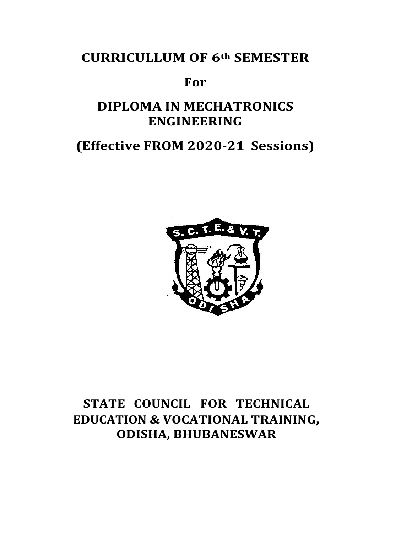# **CURRICULLUM OF 6th SEMESTER**

## **For**

# **DIPLOMA IN MECHATRONICS ENGINEERING**

# **(Effective FROM 2020-21 Sessions)**



# **STATE COUNCIL FOR TECHNICAL EDUCATION & VOCATIONAL TRAINING, ODISHA, BHUBANESWAR**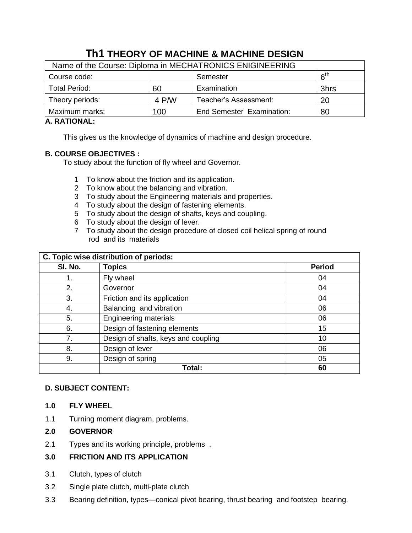## **Th1 THEORY OF MACHINE & MACHINE DESIGN**

| Name of the Course: Diploma in MECHATRONICS ENIGINEERING |       |                                  |                                   |  |  |
|----------------------------------------------------------|-------|----------------------------------|-----------------------------------|--|--|
| Course code:                                             |       | Semester                         | $\boldsymbol{\kappa}^{\text{th}}$ |  |  |
| <b>Total Period:</b>                                     | 60    | Examination                      | 3hrs                              |  |  |
| Theory periods:                                          | 4 P/W | Teacher's Assessment:            | <b>20</b>                         |  |  |
| Maximum marks:                                           | 100   | <b>End Semester Examination:</b> | 80                                |  |  |

## **A. RATIONAL:**

This gives us the knowledge of dynamics of machine and design procedure.

## **B. COURSE OBJECTIVES :**

To study about the function of fly wheel and Governor.

- 1 To know about the friction and its application.
- 2 To know about the balancing and vibration.
- 3 To study about the Engineering materials and properties.
- 4 To study about the design of fastening elements.
- 5 To study about the design of shafts, keys and coupling.
- 6 To study about the design of lever.
- 7 To study about the design procedure of closed coil helical spring of round rod and its materials

|         | C. Topic wise distribution of periods: |               |  |  |
|---------|----------------------------------------|---------------|--|--|
| SI. No. | <b>Topics</b>                          | <b>Period</b> |  |  |
| 1.      | Fly wheel                              | 04            |  |  |
| 2.      | Governor                               | 04            |  |  |
| 3.      | Friction and its application           | 04            |  |  |
| 4.      | Balancing and vibration                | 06            |  |  |
| 5.      | <b>Engineering materials</b>           | 06            |  |  |
| 6.      | Design of fastening elements           | 15            |  |  |
| 7.      | Design of shafts, keys and coupling    | 10            |  |  |
| 8.      | Design of lever                        | 06            |  |  |
| 9.      | Design of spring                       | 05            |  |  |
|         | Total:                                 | 60            |  |  |

### **D. SUBJECT CONTENT:**

### **1.0 FLY WHEEL**

1.1 Turning moment diagram, problems.

### **2.0 GOVERNOR**

2.1 Types and its working principle, problems .

## **3.0 FRICTION AND ITS APPLICATION**

- 3.1 Clutch, types of clutch
- 3.2 Single plate clutch, multi-plate clutch
- 3.3 Bearing definition, types—conical pivot bearing, thrust bearing and footstep bearing.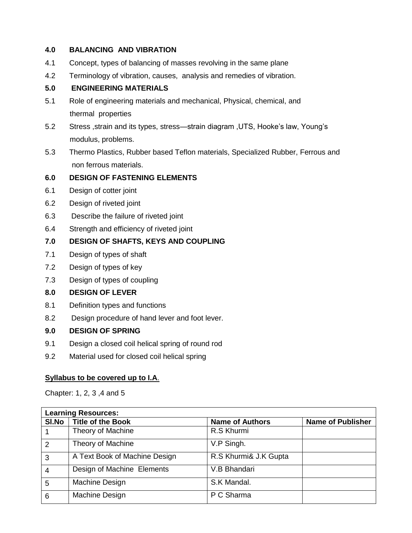### **4.0 BALANCING AND VIBRATION**

- 4.1 Concept, types of balancing of masses revolving in the same plane
- 4.2 Terminology of vibration, causes, analysis and remedies of vibration.

## **5.0 ENGINEERING MATERIALS**

- 5.1 Role of engineering materials and mechanical, Physical, chemical, and thermal properties
- 5.2 Stress ,strain and its types, stress—strain diagram ,UTS, Hooke's law, Young's modulus, problems.
- 5.3 Thermo Plastics, Rubber based Teflon materials, Specialized Rubber, Ferrous and non ferrous materials.

## **6.0 DESIGN OF FASTENING ELEMENTS**

- 6.1 Design of cotter joint
- 6.2 Design of riveted joint
- 6.3 Describe the failure of riveted joint
- 6.4 Strength and efficiency of riveted joint

## **7.0 DESIGN OF SHAFTS, KEYS AND COUPLING**

- 7.1 Design of types of shaft
- 7.2 Design of types of key
- 7.3 Design of types of coupling

### **8.0 DESIGN OF LEVER**

- 8.1 Definition types and functions
- 8.2 Design procedure of hand lever and foot lever.

### **9.0 DESIGN OF SPRING**

- 9.1 Design a closed coil helical spring of round rod
- 9.2 Material used for closed coil helical spring

### **Syllabus to be covered up to I.A**.

Chapter: 1, 2, 3 ,4 and 5

| <b>Learning Resources:</b> |                               |                        |                          |  |
|----------------------------|-------------------------------|------------------------|--------------------------|--|
| SI.No                      | <b>Title of the Book</b>      | <b>Name of Authors</b> | <b>Name of Publisher</b> |  |
|                            | Theory of Machine             | R.S Khurmi             |                          |  |
| $\overline{2}$             | Theory of Machine             | V.P Singh.             |                          |  |
| 3                          | A Text Book of Machine Design | R.S Khurmi& J.K Gupta  |                          |  |
| $\overline{4}$             | Design of Machine Elements    | V.B Bhandari           |                          |  |
| 5                          | Machine Design                | S.K Mandal.            |                          |  |
| 6                          | Machine Design                | P C Sharma             |                          |  |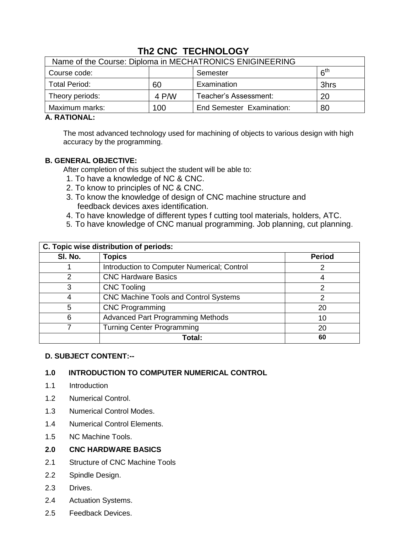| Name of the Course: Diploma in MECHATRONICS ENIGINEERING |       |                                  |                                   |  |  |
|----------------------------------------------------------|-------|----------------------------------|-----------------------------------|--|--|
| Course code:                                             |       | Semester                         | $\boldsymbol{\kappa}^{\text{th}}$ |  |  |
| <b>Total Period:</b>                                     | 60    | Examination                      | 3hrs                              |  |  |
| Theory periods:                                          | 4 P/W | Teacher's Assessment:            | 20                                |  |  |
| Maximum marks:                                           | 100   | <b>End Semester Examination:</b> | 80                                |  |  |

## **Th2 CNC TECHNOLOGY**

#### **A. RATIONAL:**

The most advanced technology used for machining of objects to various design with high accuracy by the programming.

## **B. GENERAL OBJECTIVE:**

After completion of this subject the student will be able to:

- 1. To have a knowledge of NC & CNC.
- 2. To know to principles of NC & CNC.
- 3. To know the knowledge of design of CNC machine structure and feedback devices axes identification.
- 4. To have knowledge of different types f cutting tool materials, holders, ATC.
- 5. To have knowledge of CNC manual programming. Job planning, cut planning.

| C. Topic wise distribution of periods: |                                              |               |  |  |
|----------------------------------------|----------------------------------------------|---------------|--|--|
| SI. No.                                | <b>Topics</b>                                | <b>Period</b> |  |  |
|                                        | Introduction to Computer Numerical; Control  |               |  |  |
| າ                                      | <b>CNC Hardware Basics</b>                   |               |  |  |
| 3                                      | <b>CNC Tooling</b>                           |               |  |  |
|                                        | <b>CNC Machine Tools and Control Systems</b> | 2             |  |  |
| 5                                      | <b>CNC Programming</b>                       | 20            |  |  |
| 6                                      | <b>Advanced Part Programming Methods</b>     | 10            |  |  |
|                                        | <b>Turning Center Programming</b>            | 20            |  |  |
|                                        | Total:                                       | 60            |  |  |

### **D. SUBJECT CONTENT:--**

### **1.0 INTRODUCTION TO COMPUTER NUMERICAL CONTROL**

- 1.1 Introduction
- 1.2 Numerical Control.
- 1.3 Numerical Control Modes.
- 1.4 Numerical Control Elements.
- 1.5 NC Machine Tools.

#### **2.0 CNC HARDWARE BASICS**

- 2.1 Structure of CNC Machine Tools
- 2.2 Spindle Design.
- 2.3 Drives.
- 2.4 Actuation Systems.
- 2.5 Feedback Devices.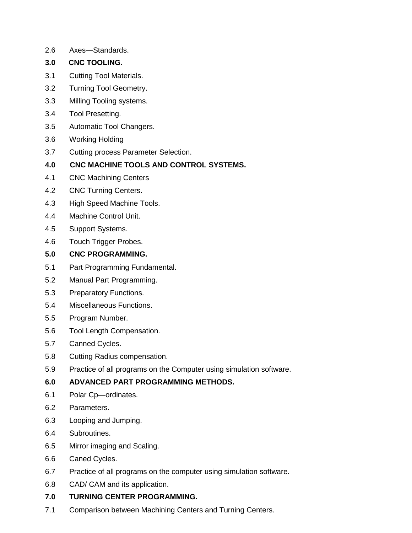- 2.6 Axes—Standards.
- **3.0 CNC TOOLING.**
- 3.1 Cutting Tool Materials.
- 3.2 Turning Tool Geometry.
- 3.3 Milling Tooling systems.
- 3.4 Tool Presetting.
- 3.5 Automatic Tool Changers.
- 3.6 Working Holding
- 3.7 Cutting process Parameter Selection.
- **4.0 CNC MACHINE TOOLS AND CONTROL SYSTEMS.**
- 4.1 CNC Machining Centers
- 4.2 CNC Turning Centers.
- 4.3 High Speed Machine Tools.
- 4.4 Machine Control Unit.
- 4.5 Support Systems.
- 4.6 Touch Trigger Probes.
- **5.0 CNC PROGRAMMING.**
- 5.1 Part Programming Fundamental.
- 5.2 Manual Part Programming.
- 5.3 Preparatory Functions.
- 5.4 Miscellaneous Functions.
- 5.5 Program Number.
- 5.6 Tool Length Compensation.
- 5.7 Canned Cycles.
- 5.8 Cutting Radius compensation.
- 5.9 Practice of all programs on the Computer using simulation software.

## **6.0 ADVANCED PART PROGRAMMING METHODS.**

- 6.1 Polar Cp—ordinates.
- 6.2 Parameters.
- 6.3 Looping and Jumping.
- 6.4 Subroutines.
- 6.5 Mirror imaging and Scaling.
- 6.6 Caned Cycles.
- 6.7 Practice of all programs on the computer using simulation software.
- 6.8 CAD/ CAM and its application.

## **7.0 TURNING CENTER PROGRAMMING.**

7.1 Comparison between Machining Centers and Turning Centers.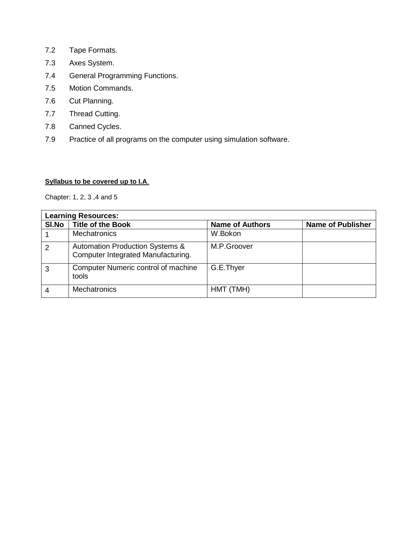- 7.2 Tape Formats.
- 7.3 Axes System.
- 7.4 General Programming Functions.
- 7.5 Motion Commands.
- 7.6 Cut Planning.
- 7.7 Thread Cutting.
- 7.8 Canned Cycles.
- 7.9 Practice of all programs on the computer using simulation software.

#### **Syllabus to be covered up to I.A**.

Chapter: 1, 2, 3 ,4 and 5

|                | <b>Learning Resources:</b>                                                       |                        |                          |  |  |
|----------------|----------------------------------------------------------------------------------|------------------------|--------------------------|--|--|
| SI.No          | Title of the Book                                                                | <b>Name of Authors</b> | <b>Name of Publisher</b> |  |  |
|                | <b>Mechatronics</b>                                                              | W.Bokon                |                          |  |  |
| $\overline{2}$ | <b>Automation Production Systems &amp;</b><br>Computer Integrated Manufacturing. | M.P.Groover            |                          |  |  |
| 3              | Computer Numeric control of machine<br>tools                                     | G.E.Thyer              |                          |  |  |
|                | <b>Mechatronics</b>                                                              | HMT (TMH)              |                          |  |  |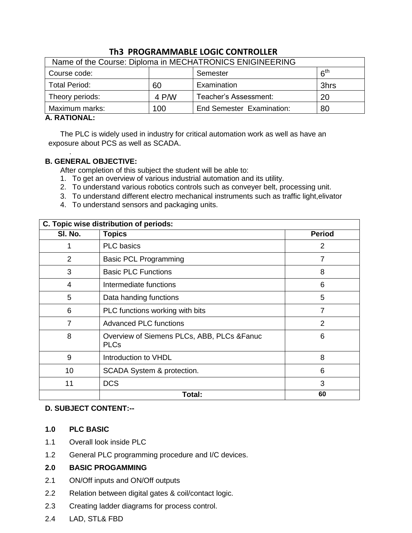| Name of the Course: Diploma in MECHATRONICS ENIGINEERING |       |                                  |                 |  |  |
|----------------------------------------------------------|-------|----------------------------------|-----------------|--|--|
| Course code:                                             |       | Semester                         | 6 <sup>th</sup> |  |  |
| <b>Total Period:</b>                                     | 60    | Examination                      | 3hrs            |  |  |
| Theory periods:                                          | 4 P/W | Teacher's Assessment:            | 20              |  |  |
| Maximum marks:                                           | 100   | <b>End Semester Examination:</b> | 80              |  |  |

## **Th3 PROGRAMMABLE LOGIC CONTROLLER**

### **A. RATIONAL:**

.

The PLC is widely used in industry for critical automation work as well as have an exposure about PCS as well as SCADA.

### **B. GENERAL OBJECTIVE:**

After completion of this subject the student will be able to:

- 1. To get an overview of various industrial automation and its utility.
- 2. To understand various robotics controls such as conveyer belt, processing unit.
- 3. To understand different electro mechanical instruments such as traffic light,elivator
- 4. To understand sensors and packaging units.

| C. Topic wise distribution of periods: |                                                            |                |  |  |
|----------------------------------------|------------------------------------------------------------|----------------|--|--|
| SI. No.                                | <b>Topics</b>                                              | <b>Period</b>  |  |  |
| 1                                      | <b>PLC</b> basics                                          | $\overline{2}$ |  |  |
| $\overline{2}$                         | <b>Basic PCL Programming</b>                               | $\overline{7}$ |  |  |
| 3                                      | <b>Basic PLC Functions</b>                                 | 8              |  |  |
| 4                                      | Intermediate functions                                     | 6              |  |  |
| 5                                      | Data handing functions                                     | 5              |  |  |
| 6                                      | PLC functions working with bits                            | 7              |  |  |
| 7                                      | <b>Advanced PLC functions</b>                              | 2              |  |  |
| 8                                      | Overview of Siemens PLCs, ABB, PLCs & Fanuc<br><b>PLCs</b> | 6              |  |  |
| 9                                      | Introduction to VHDL                                       | 8              |  |  |
| 10                                     | SCADA System & protection.                                 | 6              |  |  |
| 11                                     | <b>DCS</b>                                                 | 3              |  |  |
|                                        | Total:                                                     | 60             |  |  |

### **D. SUBJECT CONTENT:--**

### **1.0 PLC BASIC**

- 1.1 Overall look inside PLC
- 1.2 General PLC programming procedure and I/C devices.

### **2.0 BASIC PROGAMMING**

- 2.1 ON/Off inputs and ON/Off outputs
- 2.2 Relation between digital gates & coil/contact logic.
- 2.3 Creating ladder diagrams for process control.
- 2.4 LAD, STL& FBD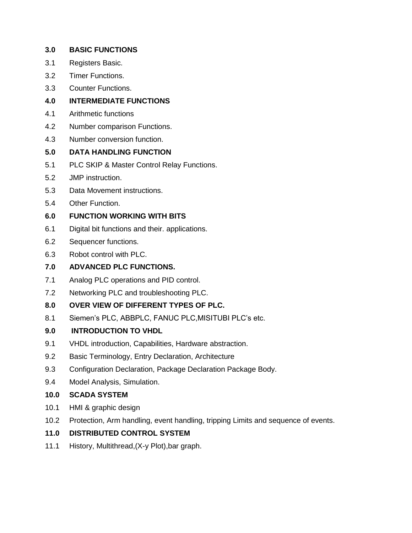| 3.0  | <b>BASIC FUNCTIONS</b>                                                            |
|------|-----------------------------------------------------------------------------------|
| 3.1  | Registers Basic.                                                                  |
| 3.2  | <b>Timer Functions.</b>                                                           |
| 3.3  | <b>Counter Functions.</b>                                                         |
| 4.0  | <b>INTERMEDIATE FUNCTIONS</b>                                                     |
| 4.1  | Arithmetic functions                                                              |
| 4.2  | Number comparison Functions.                                                      |
| 4.3  | Number conversion function.                                                       |
| 5.0  | <b>DATA HANDLING FUNCTION</b>                                                     |
| 5.1  | PLC SKIP & Master Control Relay Functions.                                        |
| 5.2  | JMP instruction.                                                                  |
| 5.3  | Data Movement instructions.                                                       |
| 5.4  | Other Function.                                                                   |
| 6.0  | <b>FUNCTION WORKING WITH BITS</b>                                                 |
| 6.1  | Digital bit functions and their. applications.                                    |
| 6.2  | Sequencer functions.                                                              |
| 6.3  | Robot control with PLC.                                                           |
| 7.0  | <b>ADVANCED PLC FUNCTIONS.</b>                                                    |
| 7.1  | Analog PLC operations and PID control.                                            |
| 7.2  | Networking PLC and troubleshooting PLC.                                           |
| 8.0  | OVER VIEW OF DIFFERENT TYPES OF PLC.                                              |
| 8.1  | Siemen's PLC, ABBPLC, FANUC PLC, MISITUBI PLC's etc.                              |
| 9.0  | <b>INTRODUCTION TO VHDL</b>                                                       |
| 9.1  | VHDL introduction, Capabilities, Hardware abstraction.                            |
| 9.2  | Basic Terminology, Entry Declaration, Architecture                                |
| 9.3  | Configuration Declaration, Package Declaration Package Body.                      |
| 9.4  | Model Analysis, Simulation.                                                       |
| 10.0 | <b>SCADA SYSTEM</b>                                                               |
| 10.1 | HMI & graphic design                                                              |
| 10.2 | Protection, Arm handling, event handling, tripping Limits and sequence of events. |
| 11.0 | <b>DISTRIBUTED CONTROL SYSTEM</b>                                                 |
| 11.1 | History, Multithread, (X-y Plot), bar graph.                                      |
|      |                                                                                   |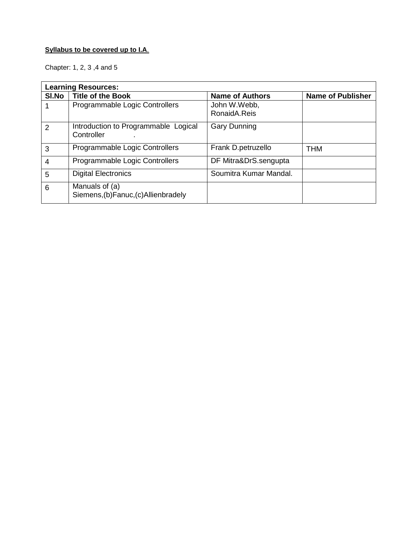## **Syllabus to be covered up to I.A**.

Chapter: 1, 2, 3 ,4 and 5

|              | <b>Learning Resources:</b>                              |                              |                          |  |  |  |
|--------------|---------------------------------------------------------|------------------------------|--------------------------|--|--|--|
| <b>SI.No</b> | <b>Title of the Book</b>                                | <b>Name of Authors</b>       | <b>Name of Publisher</b> |  |  |  |
|              | Programmable Logic Controllers                          | John W.Webb,<br>RonaidA.Reis |                          |  |  |  |
| 2            | Introduction to Programmable Logical<br>Controller      | <b>Gary Dunning</b>          |                          |  |  |  |
| 3            | Programmable Logic Controllers                          | Frank D.petruzello           | <b>THM</b>               |  |  |  |
| 4            | Programmable Logic Controllers                          | DF Mitra&DrS.sengupta        |                          |  |  |  |
| 5            | <b>Digital Electronics</b>                              | Soumitra Kumar Mandal.       |                          |  |  |  |
| 6            | Manuals of (a)<br>Siemens, (b) Fanuc, (c) Allienbradely |                              |                          |  |  |  |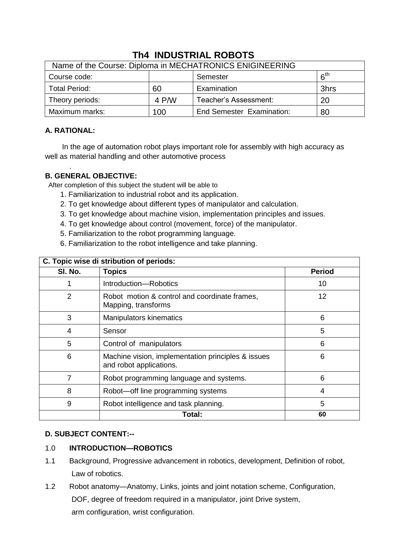| Name of the Course: Diploma in MECHATRONICS ENIGINEERING |       |                                  |                 |  |  |
|----------------------------------------------------------|-------|----------------------------------|-----------------|--|--|
| Course code:                                             |       | Semester                         | 6 <sup>th</sup> |  |  |
| <b>Total Period:</b>                                     | 60    | Examination                      | 3hrs            |  |  |
| Theory periods:                                          | 4 P/W | Teacher's Assessment:            | 20              |  |  |
| Maximum marks:                                           | 100   | <b>End Semester Examination:</b> | 80              |  |  |

## **Th4 INDUSTRIAL ROBOTS**

## **A. RATIONAL:**

In the age of automation robot plays important role for assembly with high accuracy as well as material handling and other automotive process

#### . **B. GENERAL OBJECTIVE:**

After completion of this subject the student will be able to

- 1. Familiarization to industrial robot and its application.
- 2. To get knowledge about different types of manipulator and calculation.
- 3. To get knowledge about machine vision, implementation principles and issues.
- 4. To get knowledge about control (movement, force) of the manipulator.
- 5. Familiarization to the robot programming language.
- 6. Familiarization to the robot intelligence and take planning.

| C. Topic wise di stribution of periods: |                                                                               |               |  |
|-----------------------------------------|-------------------------------------------------------------------------------|---------------|--|
| SI. No.                                 | <b>Topics</b>                                                                 | <b>Period</b> |  |
|                                         | Introduction-Robotics                                                         | 10            |  |
| 2                                       | Robot motion & control and coordinate frames,<br>Mapping, transforms          | 12            |  |
| 3                                       | <b>Manipulators kinematics</b>                                                | 6             |  |
| 4                                       | Sensor                                                                        | 5             |  |
| 5                                       | Control of manipulators                                                       | 6             |  |
| 6                                       | Machine vision, implementation principles & issues<br>and robot applications. | 6             |  |
| 7                                       | Robot programming language and systems.                                       | 6             |  |
| 8                                       | Robot-off line programming systems                                            | 4             |  |
| 9                                       | Robot intelligence and task planning.                                         | 5             |  |
|                                         | Total:                                                                        | 60            |  |

## **C. Topic wise di stribution of periods:**

## **D. SUBJECT CONTENT:--**

## 1.0 **INTRODUCTION—ROBOTICS**

- 1.1 Background, Progressive advancement in robotics, development, Definition of robot, Law of robotics.
- 1.2 Robot anatomy—Anatomy, Links, joints and joint notation scheme, Configuration, DOF, degree of freedom required in a manipulator, joint Drive system, arm configuration, wrist configuration.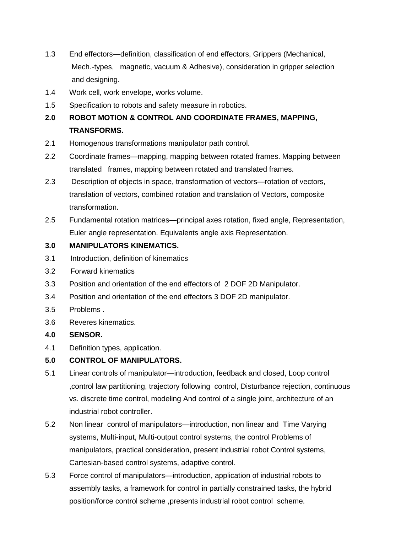- 1.3 End effectors—definition, classification of end effectors, Grippers (Mechanical, Mech.-types, magnetic, vacuum & Adhesive), consideration in gripper selection and designing.
- 1.4 Work cell, work envelope, works volume.
- 1.5 Specification to robots and safety measure in robotics.

## **2.0 ROBOT MOTION & CONTROL AND COORDINATE FRAMES, MAPPING, TRANSFORMS.**

- 2.1 Homogenous transformations manipulator path control.
- 2.2 Coordinate frames—mapping, mapping between rotated frames. Mapping between translated frames, mapping between rotated and translated frames.
- 2.3 Description of objects in space, transformation of vectors—rotation of vectors, translation of vectors, combined rotation and translation of Vectors, composite transformation.
- 2.5 Fundamental rotation matrices—principal axes rotation, fixed angle, Representation, Euler angle representation. Equivalents angle axis Representation.

## **3.0 MANIPULATORS KINEMATICS.**

- 3.1 Introduction, definition of kinematics
- 3.2 Forward kinematics
- 3.3 Position and orientation of the end effectors of 2 DOF 2D Manipulator.
- 3.4 Position and orientation of the end effectors 3 DOF 2D manipulator.
- 3.5 Problems .
- 3.6 Reveres kinematics.
- **4.0 SENSOR.**
- 4.1 Definition types, application.

## **5.0 CONTROL OF MANIPULATORS.**

- 5.1 Linear controls of manipulator—introduction, feedback and closed, Loop control ,control law partitioning, trajectory following control, Disturbance rejection, continuous vs. discrete time control, modeling And control of a single joint, architecture of an industrial robot controller.
- 5.2 Non linear control of manipulators—introduction, non linear and Time Varying systems, Multi-input, Multi-output control systems, the control Problems of manipulators, practical consideration, present industrial robot Control systems, Cartesian-based control systems, adaptive control.
- 5.3 Force control of manipulators—introduction, application of industrial robots to assembly tasks, a framework for control in partially constrained tasks, the hybrid position/force control scheme ,presents industrial robot control scheme.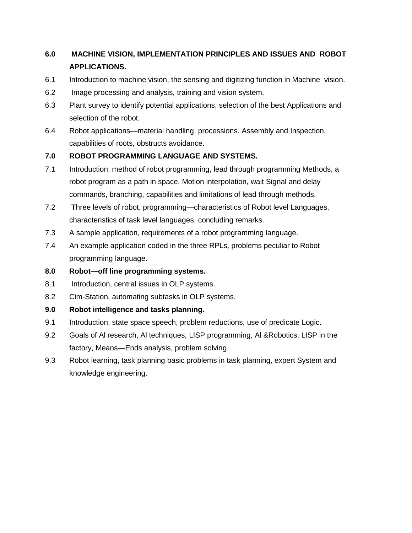## **6.0 MACHINE VISION, IMPLEMENTATION PRINCIPLES AND ISSUES AND ROBOT APPLICATIONS.**

- 6.1 Introduction to machine vision, the sensing and digitizing function in Machine vision.
- 6.2 Image processing and analysis, training and vision system.
- 6.3 Plant survey to identify potential applications, selection of the best Applications and selection of the robot.
- 6.4 Robot applications—material handling, processions. Assembly and Inspection, capabilities of roots, obstructs avoidance.

## **7.0 ROBOT PROGRAMMING LANGUAGE AND SYSTEMS.**

- 7.1 Introduction, method of robot programming, lead through programming Methods, a robot program as a path in space. Motion interpolation, wait Signal and delay commands, branching, capabilities and limitations of lead through methods.
- 7.2 Three levels of robot, programming—characteristics of Robot level Languages, characteristics of task level languages, concluding remarks.
- 7.3 A sample application, requirements of a robot programming language.
- 7.4 An example application coded in the three RPLs, problems peculiar to Robot programming language.
- **8.0 Robot—off line programming systems.**
- 8.1 Introduction, central issues in OLP systems.
- 8.2 Cim-Station, automating subtasks in OLP systems.

## **9.0 Robot intelligence and tasks planning.**

- 9.1 Introduction, state space speech, problem reductions, use of predicate Logic.
- 9.2 Goals of Al research, Al techniques, LISP programming, Al &Robotics, LISP in the factory, Means—Ends analysis, problem solving.
- 9.3 Robot learning, task planning basic problems in task planning, expert System and knowledge engineering.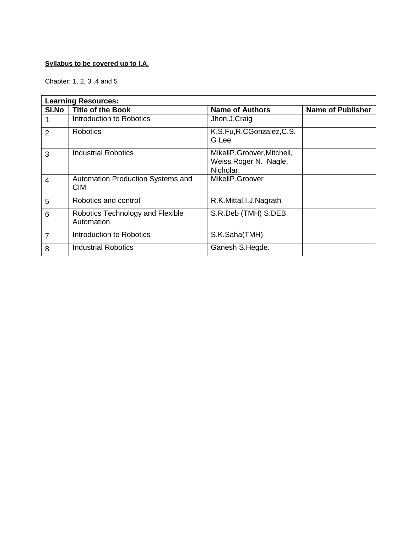### **Syllabus to be covered up to I.A**.

Chapter: 1, 2, 3 ,4 and 5

|                | <b>Learning Resources:</b>                      |                                                                   |                          |  |  |
|----------------|-------------------------------------------------|-------------------------------------------------------------------|--------------------------|--|--|
| SI.No          | <b>Title of the Book</b>                        | <b>Name of Authors</b>                                            | <b>Name of Publisher</b> |  |  |
|                | Introduction to Robotics                        | Jhon.J.Craig                                                      |                          |  |  |
| $\overline{2}$ | <b>Robotics</b>                                 | K.S.Fu, R.CGonzalez, C.S.<br>G Lee                                |                          |  |  |
| 3              | <b>Industrial Robotics</b>                      | MikellP.Groover, Mitchell,<br>Weiss, Roger N. Nagle,<br>Nicholar. |                          |  |  |
| $\overline{4}$ | Automation Production Systems and<br><b>CIM</b> | MikellP.Groover                                                   |                          |  |  |
| 5              | Robotics and control                            | R.K.Mittal, I.J. Nagrath                                          |                          |  |  |
| 6              | Robotics Technology and Flexible<br>Automation  | S.R.Deb (TMH) S.DEB.                                              |                          |  |  |
| $\overline{7}$ | Introduction to Robotics                        | S.K.Saha(TMH)                                                     |                          |  |  |
| 8              | <b>Industrial Robotics</b>                      | Ganesh S.Hegde.                                                   |                          |  |  |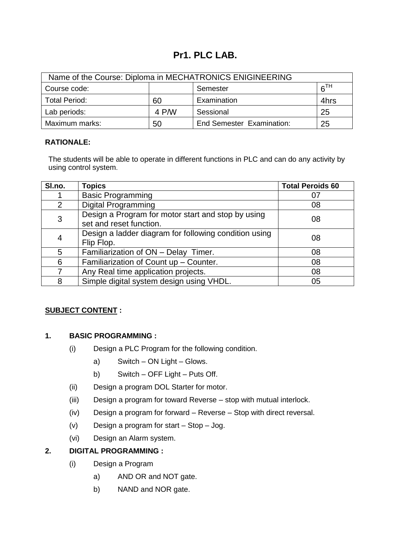## **Pr1. PLC LAB.**

| Name of the Course: Diploma in MECHATRONICS ENIGINEERING |       |                                  |      |  |
|----------------------------------------------------------|-------|----------------------------------|------|--|
| 6 <sup>TH</sup><br>Course code:<br>Semester              |       |                                  |      |  |
| <b>Total Period:</b>                                     | 60    | Examination                      | 4hrs |  |
| Lab periods:                                             | 4 P/W | Sessional                        | 25   |  |
| Maximum marks:                                           | 50    | <b>End Semester Examination:</b> | 25   |  |

## **RATIONALE:**

The students will be able to operate in different functions in PLC and can do any activity by using control system.

| SI.no. | <b>Topics</b>                                                                 | <b>Total Peroids 60</b> |
|--------|-------------------------------------------------------------------------------|-------------------------|
|        | <b>Basic Programming</b>                                                      |                         |
| 2      | <b>Digital Programming</b>                                                    | 08                      |
| 3      | Design a Program for motor start and stop by using<br>set and reset function. | 08                      |
| 4      | Design a ladder diagram for following condition using<br>Flip Flop.           | 08                      |
| 5      | Familiarization of ON - Delay Timer.                                          | 08                      |
| 6      | Familiarization of Count up - Counter.                                        | 08                      |
|        | Any Real time application projects.                                           | 08                      |
| 8      | Simple digital system design using VHDL.                                      | 05                      |

## **SUBJECT CONTENT :**

## **1. BASIC PROGRAMMING :**

- (i) Design a PLC Program for the following condition.
	- a) Switch ON Light Glows.
	- b) Switch OFF Light Puts Off.
- (ii) Design a program DOL Starter for motor.
- (iii) Design a program for toward Reverse stop with mutual interlock.
- (iv) Design a program for forward Reverse Stop with direct reversal.
- (v) Design a program for start Stop Jog.
- (vi) Design an Alarm system.

## **2. DIGITAL PROGRAMMING :**

- (i) Design a Program
	- a) AND OR and NOT gate.
	- b) NAND and NOR gate.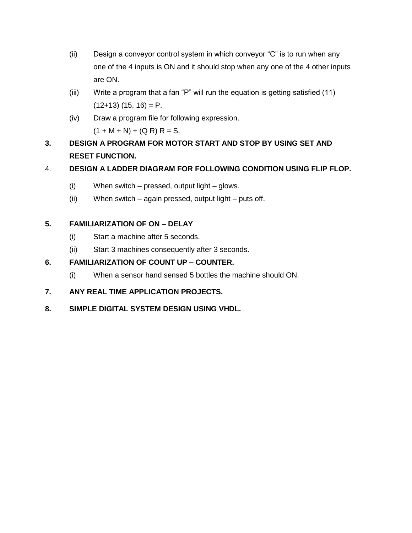- (ii) Design a conveyor control system in which conveyor " $C$ " is to run when any one of the 4 inputs is ON and it should stop when any one of the 4 other inputs are ON.
- (iii) Write a program that a fan "P" will run the equation is getting satisfied  $(11)$  $(12+13)$   $(15, 16) = P$ .
- (iv) Draw a program file for following expression.  $(1 + M + N) + (Q R) R = S$ .
- **3. DESIGN A PROGRAM FOR MOTOR START AND STOP BY USING SET AND RESET FUNCTION.**

## 4. **DESIGN A LADDER DIAGRAM FOR FOLLOWING CONDITION USING FLIP FLOP.**

- (i) When switch pressed, output light glows.
- (ii) When switch again pressed, output light puts off.

## **5. FAMILIARIZATION OF ON – DELAY**

- (i) Start a machine after 5 seconds.
- (ii) Start 3 machines consequently after 3 seconds.

## **6. FAMILIARIZATION OF COUNT UP – COUNTER.**

(i) When a sensor hand sensed 5 bottles the machine should ON.

## **7. ANY REAL TIME APPLICATION PROJECTS.**

**8. SIMPLE DIGITAL SYSTEM DESIGN USING VHDL.**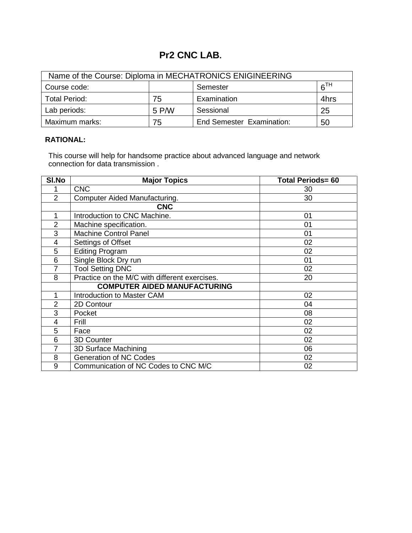## **Pr2 CNC LAB.**

| Name of the Course: Diploma in MECHATRONICS ENIGINEERING |       |                                  |                 |  |
|----------------------------------------------------------|-------|----------------------------------|-----------------|--|
| Course code:                                             |       | Semester                         | 6 <sup>TH</sup> |  |
| <b>Total Period:</b>                                     | 75    | Examination                      | 4hrs            |  |
| Lab periods:                                             | 5 P/W | Sessional                        | 25              |  |
| Maximum marks:                                           | 75    | <b>End Semester Examination:</b> | 50              |  |

## **RATIONAL:**

This course will help for handsome practice about advanced language and network connection for data transmission .

| SI.No          | <b>Major Topics</b>                           | <b>Total Periods= 60</b> |
|----------------|-----------------------------------------------|--------------------------|
|                | <b>CNC</b>                                    | 30                       |
| $\overline{2}$ | Computer Aided Manufacturing.                 | 30                       |
|                | <b>CNC</b>                                    |                          |
| 1              | Introduction to CNC Machine.                  | 01                       |
| $\overline{2}$ | Machine specification.                        | 01                       |
| 3              | <b>Machine Control Panel</b>                  | 01                       |
| 4              | Settings of Offset                            | 02                       |
| 5              | <b>Editing Program</b>                        | 02                       |
| 6              | Single Block Dry run                          | 01                       |
| 7              | <b>Tool Setting DNC</b>                       | 02                       |
| 8              | Practice on the M/C with different exercises. | 20                       |
|                | <b>COMPUTER AIDED MANUFACTURING</b>           |                          |
| 1              | <b>Introduction to Master CAM</b>             | 02                       |
| $\overline{2}$ | 2D Contour                                    | 04                       |
| 3              | Pocket                                        | 08                       |
| 4              | Frill                                         | 02                       |
| 5              | Face                                          | 02                       |
| 6              | 3D Counter                                    | 02                       |
| 7              | 3D Surface Machining                          | 06                       |
| 8              | <b>Generation of NC Codes</b>                 | 02                       |
| 9              | Communication of NC Codes to CNC M/C          | 02                       |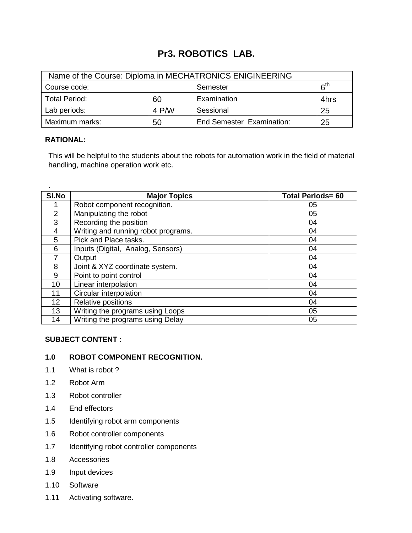## **Pr3. ROBOTICS LAB.**

| Name of the Course: Diploma in MECHATRONICS ENIGINEERING |       |                                  |                 |  |
|----------------------------------------------------------|-------|----------------------------------|-----------------|--|
| Course code:                                             |       | Semester                         | 6 <sup>th</sup> |  |
| <b>Total Period:</b>                                     | 60    | Examination                      | 4hrs            |  |
| Lab periods:                                             | 4 P/W | Sessional                        | 25              |  |
| Maximum marks:                                           | 50    | <b>End Semester Examination:</b> | 25              |  |

### **RATIONAL:**

.

This will be helpful to the students about the robots for automation work in the field of material handling, machine operation work etc.

| SI.No           | <b>Major Topics</b>                 | <b>Total Periods= 60</b> |
|-----------------|-------------------------------------|--------------------------|
|                 | Robot component recognition.        | 05                       |
| $\overline{2}$  | Manipulating the robot              | 05                       |
| 3               | Recording the position              | 04                       |
| $\overline{4}$  | Writing and running robot programs. | 04                       |
| 5               | Pick and Place tasks.               | 04                       |
| 6               | Inputs (Digital, Analog, Sensors)   | 04                       |
|                 | Output                              | 04                       |
| 8               | Joint & XYZ coordinate system.      | 04                       |
| 9               | Point to point control              | 04                       |
| 10              | Linear interpolation                | 04                       |
| 11              | Circular interpolation              | 04                       |
| 12 <sup>2</sup> | Relative positions                  | 04                       |
| 13              | Writing the programs using Loops    | 05                       |
| 14              | Writing the programs using Delay    | 05                       |

## **SUBJECT CONTENT :**

## **1.0 ROBOT COMPONENT RECOGNITION.**

- 1.1 What is robot ?
- 1.2 Robot Arm
- 1.3 Robot controller
- 1.4 End effectors
- 1.5 Identifying robot arm components
- 1.6 Robot controller components
- 1.7 Identifying robot controller components
- 1.8 Accessories
- 1.9 Input devices
- 1.10 Software
- 1.11 Activating software.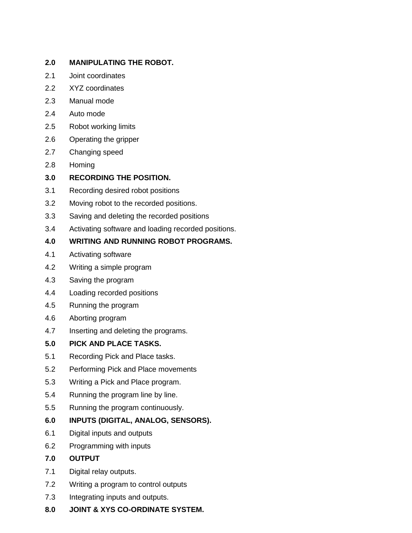## **2.0 MANIPULATING THE ROBOT.**

- 2.1 Joint coordinates
- 2.2 XYZ coordinates
- 2.3 Manual mode
- 2.4 Auto mode
- 2.5 Robot working limits
- 2.6 Operating the gripper
- 2.7 Changing speed
- 2.8 Homing

## **3.0 RECORDING THE POSITION.**

- 3.1 Recording desired robot positions
- 3.2 Moving robot to the recorded positions.
- 3.3 Saving and deleting the recorded positions
- 3.4 Activating software and loading recorded positions.

## **4.0 WRITING AND RUNNING ROBOT PROGRAMS.**

- 4.1 Activating software
- 4.2 Writing a simple program
- 4.3 Saving the program
- 4.4 Loading recorded positions
- 4.5 Running the program
- 4.6 Aborting program
- 4.7 Inserting and deleting the programs.
- **5.0 PICK AND PLACE TASKS.**
- 5.1 Recording Pick and Place tasks.
- 5.2 Performing Pick and Place movements
- 5.3 Writing a Pick and Place program.
- 5.4 Running the program line by line.
- 5.5 Running the program continuously.
- **6.0 INPUTS (DIGITAL, ANALOG, SENSORS).**
- 6.1 Digital inputs and outputs
- 6.2 Programming with inputs
- **7.0 OUTPUT**
- 7.1 Digital relay outputs.
- 7.2 Writing a program to control outputs
- 7.3 Integrating inputs and outputs.
- **8.0 JOINT & XYS CO-ORDINATE SYSTEM.**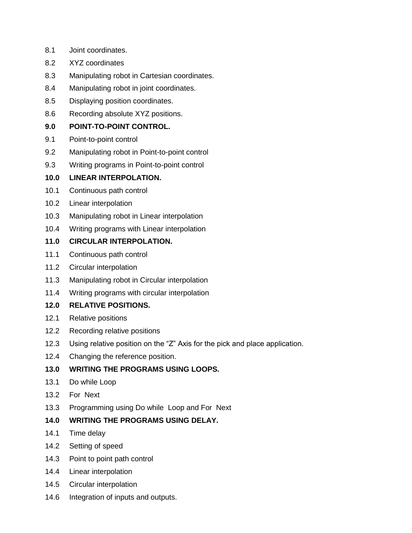- 8.1 Joint coordinates.
- 8.2 XYZ coordinates
- 8.3 Manipulating robot in Cartesian coordinates.
- 8.4 Manipulating robot in joint coordinates.
- 8.5 Displaying position coordinates.
- 8.6 Recording absolute XYZ positions.

## **9.0 POINT-TO-POINT CONTROL.**

- 9.1 Point-to-point control
- 9.2 Manipulating robot in Point-to-point control
- 9.3 Writing programs in Point-to-point control

## **10.0 LINEAR INTERPOLATION.**

- 10.1 Continuous path control
- 10.2 Linear interpolation
- 10.3 Manipulating robot in Linear interpolation
- 10.4 Writing programs with Linear interpolation

## **11.0 CIRCULAR INTERPOLATION.**

- 11.1 Continuous path control
- 11.2 Circular interpolation
- 11.3 Manipulating robot in Circular interpolation
- 11.4 Writing programs with circular interpolation

## **12.0 RELATIVE POSITIONS.**

- 12.1 Relative positions
- 12.2 Recording relative positions
- 12.3 Using relative position on the "Z" Axis for the pick and place application.
- 12.4 Changing the reference position.

## **13.0 WRITING THE PROGRAMS USING LOOPS.**

- 13.1 Do while Loop
- 13.2 For Next
- 13.3 Programming using Do while Loop and For Next

## **14.0 WRITING THE PROGRAMS USING DELAY.**

- 14.1 Time delay
- 14.2 Setting of speed
- 14.3 Point to point path control
- 14.4 Linear interpolation
- 14.5 Circular interpolation
- 14.6 Integration of inputs and outputs.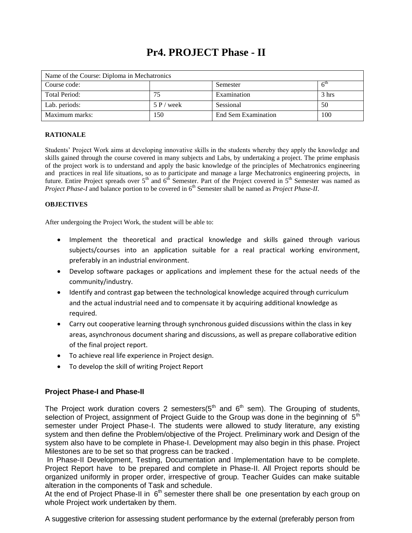## **Pr4. PROJECT Phase - II**

| Name of the Course: Diploma in Mechatronics |              |                     |       |  |
|---------------------------------------------|--------------|---------------------|-------|--|
| Course code:                                |              | Semester            |       |  |
| Total Period:                               | 75           | Examination         | 3 hrs |  |
| Lab. periods:                               | $5 P$ / week | Sessional           | 50    |  |
| Maximum marks:                              | 150          | End Sem Examination | 100   |  |

#### **RATIONALE**

Students' Project Work aims at developing innovative skills in the students whereby they apply the knowledge and skills gained through the course covered in many subjects and Labs, by undertaking a project. The prime emphasis of the project work is to understand and apply the basic knowledge of the principles of Mechatronics engineering and practices in real life situations, so as to participate and manage a large Mechatronics engineering projects, in future. Entire Project spreads over  $5<sup>th</sup>$  and  $6<sup>th</sup>$  Semester. Part of the Project covered in  $5<sup>th</sup>$  Semester was named as *Project Phase-I* and balance portion to be covered in 6<sup>th</sup> Semester shall be named as *Project Phase-II*.

#### **OBJECTIVES**

After undergoing the Project Work, the student will be able to:

- Implement the theoretical and practical knowledge and skills gained through various subjects/courses into an application suitable for a real practical working environment, preferably in an industrial environment.
- Develop software packages or applications and implement these for the actual needs of the community/industry.
- Identify and contrast gap between the technological knowledge acquired through curriculum and the actual industrial need and to compensate it by acquiring additional knowledge as required.
- Carry out cooperative learning through synchronous guided discussions within the class in key areas, asynchronous document sharing and discussions, as well as prepare collaborative edition of the final project report.
- To achieve real life experience in Project design.
- To develop the skill of writing Project Report

### **Project Phase-I and Phase-II**

The Project work duration covers 2 semesters( $5<sup>th</sup>$  and  $6<sup>th</sup>$  sem). The Grouping of students, selection of Project, assignment of Project Guide to the Group was done in the beginning of  $5<sup>th</sup>$ semester under Project Phase-I. The students were allowed to study literature, any existing system and then define the Problem/objective of the Project. Preliminary work and Design of the system also have to be complete in Phase-I. Development may also begin in this phase. Project Milestones are to be set so that progress can be tracked .

In Phase-II Development, Testing, Documentation and Implementation have to be complete. Project Report have to be prepared and complete in Phase-II. All Project reports should be organized uniformly in proper order, irrespective of group. Teacher Guides can make suitable alteration in the components of Task and schedule.

At the end of Project Phase-II in  $6<sup>th</sup>$  semester there shall be one presentation by each group on whole Project work undertaken by them.

A suggestive criterion for assessing student performance by the external (preferably person from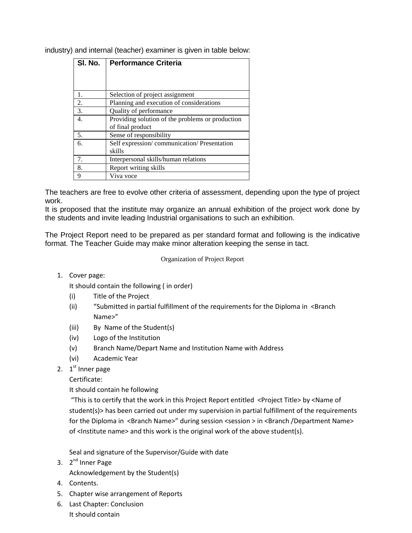industry) and internal (teacher) examiner is given in table below:

| SI. No. | <b>Performance Criteria</b>                      |  |  |
|---------|--------------------------------------------------|--|--|
|         |                                                  |  |  |
|         |                                                  |  |  |
|         |                                                  |  |  |
| 1.      | Selection of project assignment                  |  |  |
| 2.      | Planning and execution of considerations         |  |  |
| 3.      | Quality of performance                           |  |  |
| 4.      | Providing solution of the problems or production |  |  |
|         | of final product                                 |  |  |
| 5.      | Sense of responsibility                          |  |  |
| 6.      | Self expression/communication/Presentation       |  |  |
|         | skills                                           |  |  |
| 7.      | Interpersonal skills/human relations             |  |  |
| 8.      | Report writing skills                            |  |  |
| 9       | Viva voce                                        |  |  |

The teachers are free to evolve other criteria of assessment, depending upon the type of project work.

It is proposed that the institute may organize an annual exhibition of the project work done by the students and invite leading Industrial organisations to such an exhibition.

The Project Report need to be prepared as per standard format and following is the indicative format. The Teacher Guide may make minor alteration keeping the sense in tact.

#### Organization of Project Report

#### 1. Cover page:

It should contain the following ( in order)

- (i) Title of the Project
- (ii) "Submitted in partial fulfillment of the requirements for the Diploma in <Branch Name>"
- (iii) By Name of the Student(s)
- (iv) Logo of the Institution
- (v) Branch Name/Depart Name and Institution Name with Address
- (vi) Academic Year
- 2. 1<sup>st</sup> Inner page

Certificate:

It should contain he following

"This is to certify that the work in this Project Report entitled <Project Title> by <Name of student(s)> has been carried out under my supervision in partial fulfillment of the requirements for the Diploma in <Branch Name>" during session <session > in <Branch /Department Name> of <Institute name> and this work is the original work of the above student(s).

Seal and signature of the Supervisor/Guide with date

3. 2<sup>nd</sup> Inner Page

Acknowledgement by the Student(s)

- 4. Contents.
- 5. Chapter wise arrangement of Reports
- 6. Last Chapter: Conclusion It should contain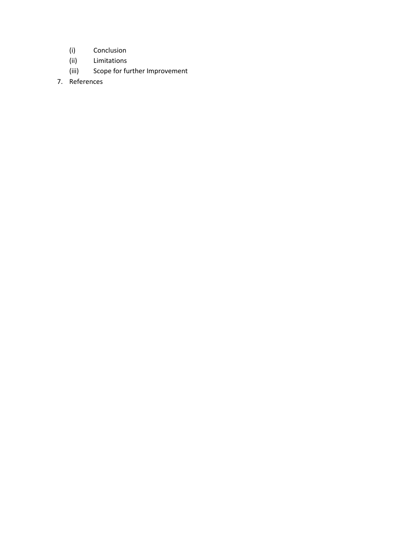- (i) Conclusion
- (ii) Limitations
- (iii) Scope for further Improvement
- 7. References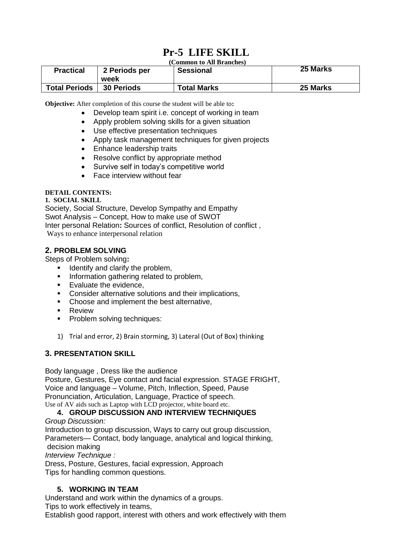# **Pr-5 LIFE SKILL**

#### **(Common to All Branches)**

| <b>Practical</b>     | 2 Periods per<br>week | <b>Sessional</b>   | 25 Marks |
|----------------------|-----------------------|--------------------|----------|
| <b>Total Periods</b> | <b>30 Periods</b>     | <b>Total Marks</b> | 25 Marks |

**Objective:** After completion of this course the student will be able to**:**

- Develop team spirit i.e. concept of working in team
- Apply problem solving skills for a given situation
- Use effective presentation techniques
- Apply task management techniques for given projects
- Enhance leadership traits
- Resolve conflict by appropriate method
- Survive self in today's competitive world
- Face interview without fear

#### **DETAIL CONTENTS:**

#### **1. SOCIAL SKILL**

Society, Social Structure, Develop Sympathy and Empathy Swot Analysis – Concept, How to make use of SWOT Inter personal Relation**:** Sources of conflict, Resolution of conflict , Ways to enhance interpersonal relation

### **2. PROBLEM SOLVING**

Steps of Problem solving**:** 

- $\blacksquare$  Identify and clarify the problem,
- **Information gathering related to problem,**
- **Evaluate the evidence,**
- **Consider alternative solutions and their implications,**
- Choose and implement the best alternative,
- **Review**
- **Problem solving techniques:**
- 1) Trial and error, 2) Brain storming, 3) Lateral (Out of Box) thinking

### **3. PRESENTATION SKILL**

Body language , Dress like the audience

Posture, Gestures, Eye contact and facial expression. STAGE FRIGHT, Voice and language – Volume, Pitch, Inflection, Speed, Pause Pronunciation, Articulation, Language, Practice of speech. Use of AV aids such as Laptop with LCD projector, white board etc.

### **4. GROUP DISCUSSION AND INTERVIEW TECHNIQUES**

#### *Group Discussion:*

Introduction to group discussion, Ways to carry out group discussion, Parameters— Contact, body language, analytical and logical thinking, decision making

*Interview Technique :*

Dress, Posture, Gestures, facial expression, Approach Tips for handling common questions.

## **5. WORKING IN TEAM**

Understand and work within the dynamics of a groups. Tips to work effectively in teams, Establish good rapport, interest with others and work effectively with them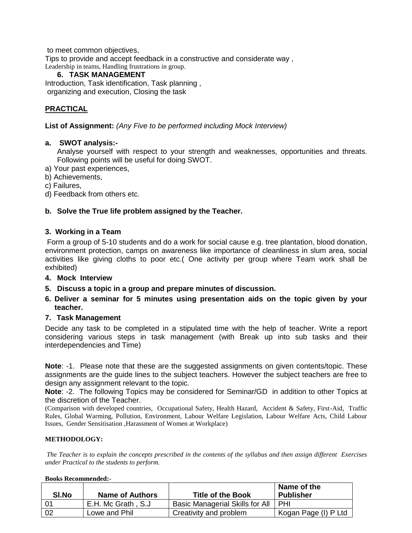to meet common objectives, Tips to provide and accept feedback in a constructive and considerate way , Leadership in teams, Handling frustrations in group.

### **6. TASK MANAGEMENT**

Introduction, Task identification, Task planning , organizing and execution, Closing the task

## **PRACTICAL**

**List of Assignment:** *(Any Five to be performed including Mock Interview)*

### **a. SWOT analysis:-**

Analyse yourself with respect to your strength and weaknesses, opportunities and threats. Following points will be useful for doing SWOT.

- a) Your past experiences,
- b) Achievements,
- c) Failures,
- d) Feedback from others etc.

### **b. Solve the True life problem assigned by the Teacher.**

#### **3. Working in a Team**

Form a group of 5-10 students and do a work for social cause e.g. tree plantation, blood donation, environment protection, camps on awareness like importance of cleanliness in slum area, social activities like giving cloths to poor etc.( One activity per group where Team work shall be exhibited)

#### **4. Mock Interview**

**5. Discuss a topic in a group and prepare minutes of discussion.** 

### **6. Deliver a seminar for 5 minutes using presentation aids on the topic given by your teacher.**

#### **7. Task Management**

Decide any task to be completed in a stipulated time with the help of teacher. Write a report considering various steps in task management (with Break up into sub tasks and their interdependencies and Time)

**Note**: -1. Please note that these are the suggested assignments on given contents/topic. These assignments are the guide lines to the subject teachers. However the subject teachers are free to design any assignment relevant to the topic.

**Note**: -2. The following Topics may be considered for Seminar/GD in addition to other Topics at the discretion of the Teacher.

(Comparison with developed countries, Occupational Safety, Health Hazard, Accident & Safety, First-Aid, Traffic Rules, Global Warming, Pollution, Environment, Labour Welfare Legislation, Labour Welfare Acts, Child Labour Issues, Gender Sensitisation ,Harassment of Women at Workplace)

#### **METHODOLOGY:**

*The Teacher is to explain the concepts prescribed in the contents of the syllabus and then assign different Exercises under Practical to the students to perform.*

#### **Books Recommended:-**

| SI.No | <b>Name of Authors</b> | <b>Title of the Book</b>        | Name of the<br><b>Publisher</b> |
|-------|------------------------|---------------------------------|---------------------------------|
|       | E.H. Mc Grath, S.J.    | Basic Managerial Skills for All | I PHI                           |
| 02    | Lowe and Phil          | Creativity and problem          | l Kogan Page (I) P Ltd          |